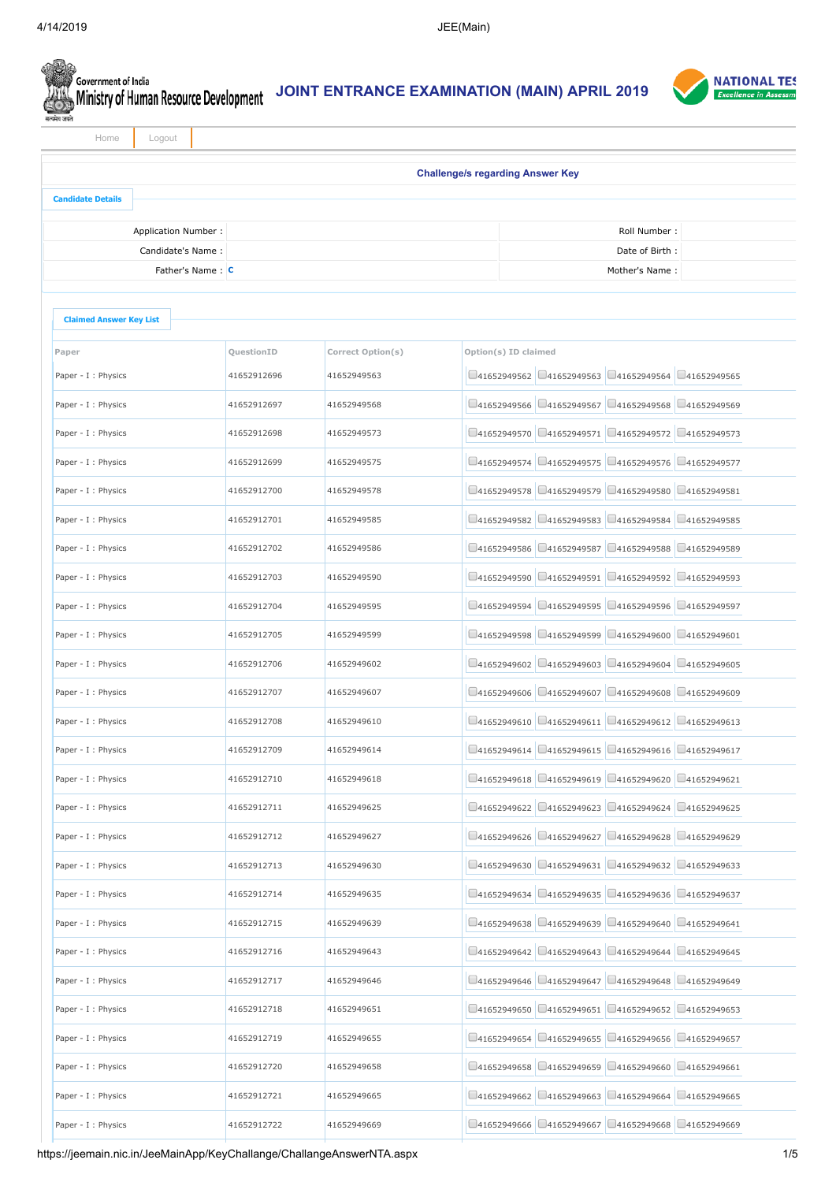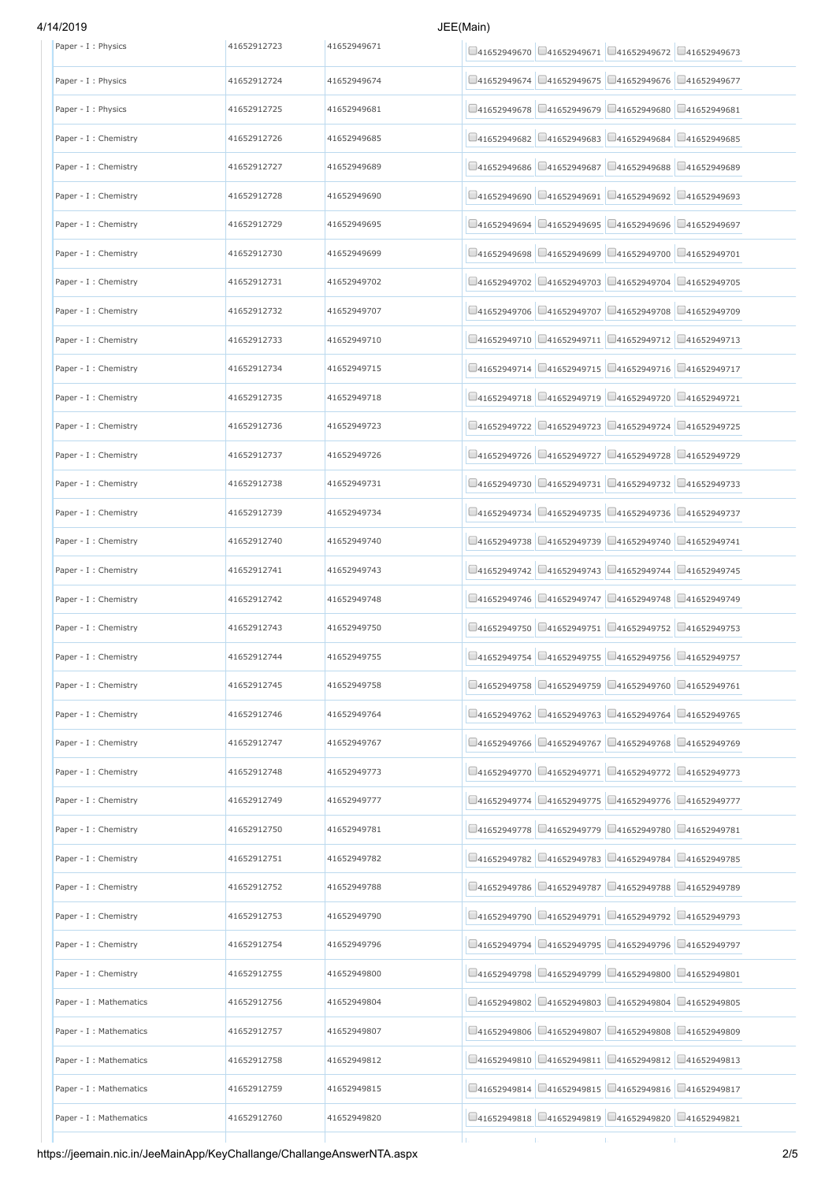# 4/14/2019 JEE

| Paper - I : Physics     | 41652912723 | 41652949671 | $\Box$ 41652949670 $\Box$ 41652949671 $\Box$ 41652949672 $\Box$ 41652949673 |                                                                   |                                       |
|-------------------------|-------------|-------------|-----------------------------------------------------------------------------|-------------------------------------------------------------------|---------------------------------------|
| Paper - I : Physics     | 41652912724 | 41652949674 | $\Box$ 41652949674 $\Box$ 41652949675 $\Box$ 41652949676 $\Box$ 41652949677 |                                                                   |                                       |
| Paper - I : Physics     | 41652912725 | 41652949681 | □41652949679<br>141652949678                                                |                                                                   | □41652949680 □41652949681             |
| Paper - I : Chemistry   | 41652912726 | 41652949685 | 141652949682                                                                | $\Box$ 41652949683 $\Box$ 41652949684 $\Box$ 41652949685          |                                       |
| Paper - I : Chemistry   | 41652912727 | 41652949689 | 41652949686<br>□41652949687                                                 | □41652949688                                                      | □41652949689                          |
| Paper - I : Chemistry   | 41652912728 | 41652949690 | $\Box$ 41652949690 $\Box$ 41652949691 $\Box$ 41652949692 $\Box$ 41652949693 |                                                                   |                                       |
| Paper - I : Chemistry   | 41652912729 | 41652949695 | 41652949694                                                                 | $\Box$ 41652949695 $\Box$ 41652949696 $\Box$ 41652949697          |                                       |
| Paper - I : Chemistry   | 41652912730 | 41652949699 | 141652949698                                                                | $\Box$ 41652949699 $\Box$ 41652949700 $\Box$ 41652949701          |                                       |
| Paper - I : Chemistry   | 41652912731 | 41652949702 | $\Box$ 41652949702 $\Box$ 41652949703 $\Box$ 41652949704 $\Box$ 41652949705 |                                                                   |                                       |
| Paper - I : Chemistry   | 41652912732 | 41652949707 | 41652949706                                                                 | $\bigcup$ 41652949707 $\bigcup$ 41652949708 $\bigcup$ 41652949709 |                                       |
| Paper - I : Chemistry   | 41652912733 | 41652949710 | □41652949710 □41652949711 □41652949712 □41652949713                         |                                                                   |                                       |
| Paper - I : Chemistry   | 41652912734 | 41652949715 | $\Box$ 41652949714 $\Box$ 41652949715 $\Box$ 41652949716 $\Box$ 41652949717 |                                                                   |                                       |
| Paper - I : Chemistry   | 41652912735 | 41652949718 | □41652949718 □41652949719 □41652949720 □41652949721                         |                                                                   |                                       |
| Paper - I : Chemistry   | 41652912736 | 41652949723 | $\Box$ 41652949722 $\Box$ 41652949723 $\Box$ 41652949724 $\Box$ 41652949725 |                                                                   |                                       |
| Paper - I : Chemistry   | 41652912737 | 41652949726 | 41652949726                                                                 | □41652949727 □41652949728 □41652949729                            |                                       |
| Paper - I : Chemistry   | 41652912738 | 41652949731 | $\Box$ 41652949730 $\Box$ 41652949731 $\Box$ 41652949732 $\Box$ 41652949733 |                                                                   |                                       |
| Paper - I : Chemistry   | 41652912739 | 41652949734 | 141652949734                                                                | □41652949735 □41652949736 □41652949737                            |                                       |
| Paper - I : Chemistry   | 41652912740 | 41652949740 | 141652949738                                                                | □41652949739 □41652949740 □41652949741                            |                                       |
| Paper - I : Chemistry   | 41652912741 | 41652949743 | $\Box$ 41652949742 $\Box$ 41652949743 $\Box$ 41652949744 $\Box$ 41652949745 |                                                                   |                                       |
| Paper - I : Chemistry   | 41652912742 | 41652949748 | $\Box$ 41652949746 $\Box$ 41652949747 $\Box$ 41652949748 $\Box$ 41652949749 |                                                                   |                                       |
| Paper - I : Chemistry   | 41652912743 | 41652949750 | 141652949750                                                                | □41652949751 □41652949752 □41652949753                            |                                       |
| Paper - I : Chemistry   | 41652912744 | 41652949755 | $\Box$ 41652949754 $\Box$ 41652949755 $\Box$ 41652949756 $\Box$ 41652949757 |                                                                   |                                       |
| Paper - I : Chemistry   | 41652912745 | 41652949758 | $\Box$ 41652949758 $\Box$ 41652949759 $\Box$ 41652949760 $\Box$ 41652949761 |                                                                   |                                       |
| Paper - I : Chemistry   | 41652912746 | 41652949764 | 41652949762                                                                 | $\Box$ 41652949763 $\Box$ 41652949764 $\Box$ 41652949765          |                                       |
| Paper - I : Chemistry   | 41652912747 | 41652949767 | $\Box$ 41652949766 $\Box$ 41652949767 $\Box$ 41652949768 $\Box$ 41652949769 |                                                                   |                                       |
| Paper - I : Chemistry   | 41652912748 | 41652949773 | 141652949770                                                                | □41652949771 □41652949772 □41652949773                            |                                       |
| Paper - I : Chemistry   | 41652912749 | 41652949777 | 141652949774                                                                | $\Box$ 41652949775 $\Box$ 41652949776 $\Box$ 41652949777          |                                       |
| Paper - I : Chemistry   | 41652912750 | 41652949781 | $\Box$ 41652949778 $\Box$ 41652949779 $\Box$ 41652949780 $\Box$ 41652949781 |                                                                   |                                       |
| Paper - I : Chemistry   | 41652912751 | 41652949782 | 141652949782                                                                | $\Box$ 41652949783 $\Box$ 41652949784                             | □41652949785                          |
| Paper - I : Chemistry   | 41652912752 | 41652949788 | 41652949786                                                                 | $\Box$ 41652949787 $\Box$ 41652949788 $\Box$ 41652949789          |                                       |
| Paper - I : Chemistry   | 41652912753 | 41652949790 | 41652949791<br>141652949790                                                 |                                                                   | $\Box$ 41652949792 $\Box$ 41652949793 |
| Paper - I : Chemistry   | 41652912754 | 41652949796 | $\Box$ 41652949794 $\Box$ 41652949795 $\Box$ 41652949796 $\Box$ 41652949797 |                                                                   |                                       |
| Paper - I : Chemistry   | 41652912755 | 41652949800 | 141652949798                                                                | $\Box$ 41652949799 $\Box$ 41652949800 $\Box$ 41652949801          |                                       |
| Paper - I : Mathematics | 41652912756 | 41652949804 | 141652949802<br>$\Box$ 41652949803                                          |                                                                   | $\Box$ 41652949804 $\Box$ 41652949805 |
| Paper - I : Mathematics | 41652912757 | 41652949807 | $\Box$ 41652949806 $\Box$ 41652949807 $\Box$ 41652949808 $\Box$ 41652949809 |                                                                   |                                       |
| Paper - I : Mathematics | 41652912758 | 41652949812 | 141652949810                                                                | $\Box$ 41652949811 $\Box$ 41652949812 $\Box$ 41652949813          |                                       |
| Paper - I : Mathematics | 41652912759 | 41652949815 | $\Box$ 41652949814 $\Box$ 41652949815 $\Box$ 41652949816 $\Box$ 41652949817 |                                                                   |                                       |
| Paper - I : Mathematics | 41652912760 | 41652949820 | $\Box$ 41652949818 $\Box$ 41652949819 $\Box$ 41652949820 $\Box$ 41652949821 |                                                                   |                                       |
|                         |             |             |                                                                             | Ţ,                                                                | т.                                    |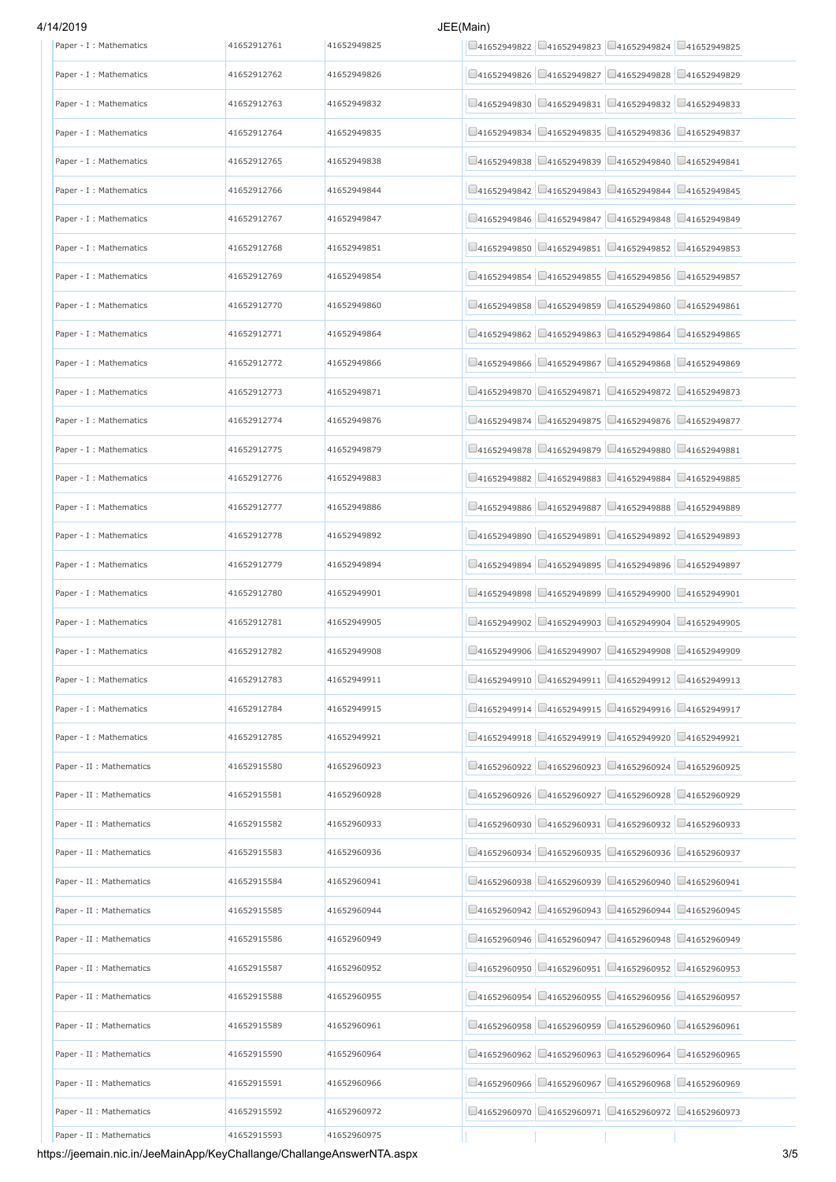# 4/14/2019 JEE(Main)

| Paper - I : Mathematics  | 41652912761 | 41652949825 | $\Box$ 41652949822 $\Box$ 41652949823 $\Box$ 41652949824 $\Box$ 41652949825 |
|--------------------------|-------------|-------------|-----------------------------------------------------------------------------|
| Paper - I : Mathematics  | 41652912762 | 41652949826 | □41652949827 □41652949828 □41652949829<br>41652949826                       |
| Paper - I : Mathematics  | 41652912763 | 41652949832 | $\Box$ 41652949831 $\Box$ 41652949832 $\Box$ 41652949833<br>141652949830    |
| Paper - I : Mathematics  | 41652912764 | 41652949835 | $\Box$ 41652949835 $\Box$ 41652949836 $\Box$ 41652949837<br>141652949834    |
| Paper - I : Mathematics  | 41652912765 | 41652949838 | □41652949840<br>□41652949839<br>□41652949841<br>141652949838                |
| Paper - I : Mathematics  | 41652912766 | 41652949844 | $\Box$ 41652949842 $\Box$ 41652949843 $\Box$ 41652949844 $\Box$ 41652949845 |
| Paper - I : Mathematics  | 41652912767 | 41652949847 | □41652949847 □41652949848 □41652949849<br>41652949846                       |
| Paper - I : Mathematics  | 41652912768 | 41652949851 | $\Box$ 41652949851 $\Box$ 41652949852 $\Box$ 41652949853<br>41652949850     |
| Paper - I : Mathematics  | 41652912769 | 41652949854 | □41652949856 □41652949857<br>□41652949854<br>41652949855                    |
| Paper - I : Mathematics  | 41652912770 | 41652949860 | □41652949861<br>□41652949858<br>$Q$ 41652949859<br>□41652949860             |
| Paper - I : Mathematics  | 41652912771 | 41652949864 | $\Box$ 41652949862 $\Box$ 41652949863 $\Box$ 41652949864 $\Box$ 41652949865 |
| Paper - I : Mathematics  | 41652912772 | 41652949866 | □41652949868<br>□41652949867<br>□41652949869<br>41652949866                 |
| Paper - I : Mathematics  | 41652912773 | 41652949871 | $\Box$ 41652949870 $\Box$ 41652949871 $\Box$ 41652949872 $\Box$ 41652949873 |
| Paper - I : Mathematics  | 41652912774 | 41652949876 | □41652949874 □41652949875 □41652949876 □41652949877                         |
| Paper - I : Mathematics  | 41652912775 | 41652949879 | □41652949879<br>□41652949880 □41652949881<br>41652949878                    |
| Paper - I : Mathematics  | 41652912776 | 41652949883 | □41652949883<br>$\Box$ 41652949884 $\Box$ 41652949885<br>141652949882       |
| Paper - I : Mathematics  | 41652912777 | 41652949886 | □41652949888<br>□41652949889<br>141652949886<br>141652949887                |
| Paper - I : Mathematics  | 41652912778 | 41652949892 | □41652949891 □41652949892 □41652949893<br>41652949890                       |
| Paper - I : Mathematics  | 41652912779 | 41652949894 | □41652949895 □41652949896 □41652949897<br>141652949894                      |
| Paper - I : Mathematics  | 41652912780 | 41652949901 | □41652949899 □41652949900 □41652949901<br>41652949898                       |
| Paper - I : Mathematics  | 41652912781 | 41652949905 | □41652949903 □41652949904 □41652949905<br>□41652949902                      |
| Paper - I : Mathematics  | 41652912782 | 41652949908 | $\Box$ 41652949907 $\Box$ 41652949908 $\Box$ 41652949909<br>41652949906     |
| Paper - I : Mathematics  | 41652912783 | 41652949911 | □41652949910 □41652949911 □41652949912 □41652949913                         |
| Paper - I : Mathematics  | 41652912784 | 41652949915 | □41652949915 □41652949916 □41652949917<br>$\Box$ 41652949914                |
| Paper - I : Mathematics  | 41652912785 | 41652949921 | $\Box$ 41652949918 $\Box$ 41652949919 $\Box$ 41652949920 $\Box$ 41652949921 |
| Paper - II : Mathematics | 41652915580 | 41652960923 | $\Box$ 41652960922 $\Box$ 41652960923 $\Box$ 41652960924 $\Box$ 41652960925 |
| Paper - II : Mathematics | 41652915581 | 41652960928 | □41652960927 □41652960928 □41652960929<br>141652960926                      |
| Paper - II : Mathematics | 41652915582 | 41652960933 | $\Box$ 41652960931 $\Box$ 41652960932 $\Box$ 41652960933<br>41652960930     |
| Paper - II : Mathematics | 41652915583 | 41652960936 | 41652960934<br>$\Box$ 41652960935<br>$\Box$ 41652960936<br>□41652960937     |
| Paper - II : Mathematics | 41652915584 | 41652960941 | $\Box$ 41652960939 $\Box$ 41652960940 $\Box$ 41652960941<br>141652960938    |
| Paper - II : Mathematics | 41652915585 | 41652960944 | □41652960943 □41652960944<br>□41652960945<br>141652960942                   |
| Paper - II : Mathematics | 41652915586 | 41652960949 | $\Box$ 41652960946 $\Box$ 41652960947 $\Box$ 41652960948 $\Box$ 41652960949 |
| Paper - II : Mathematics | 41652915587 | 41652960952 | $\Box$ 41652960950 $\Box$ 41652960951 $\Box$ 41652960952 $\Box$ 41652960953 |
| Paper - II : Mathematics | 41652915588 | 41652960955 | □41652960955 □41652960956 □41652960957<br>141652960954                      |
| Paper - II : Mathematics | 41652915589 | 41652960961 | $\Box$ 41652960960 $\Box$ 41652960961<br>141652960958<br>141652960959       |
| Paper - II : Mathematics | 41652915590 | 41652960964 | □41652960965<br>141652960962<br>141652960963<br>141652960964                |
| Paper - II : Mathematics | 41652915591 | 41652960966 | $\Box$ 41652960966 $\Box$ 41652960967 $\Box$ 41652960968 $\Box$ 41652960969 |
| Paper - II : Mathematics | 41652915592 | 41652960972 | $\Box$ 41652960970 $\Box$ 41652960971 $\Box$ 41652960972 $\Box$ 41652960973 |
| Paper - II : Mathematics | 41652915593 | 41652960975 |                                                                             |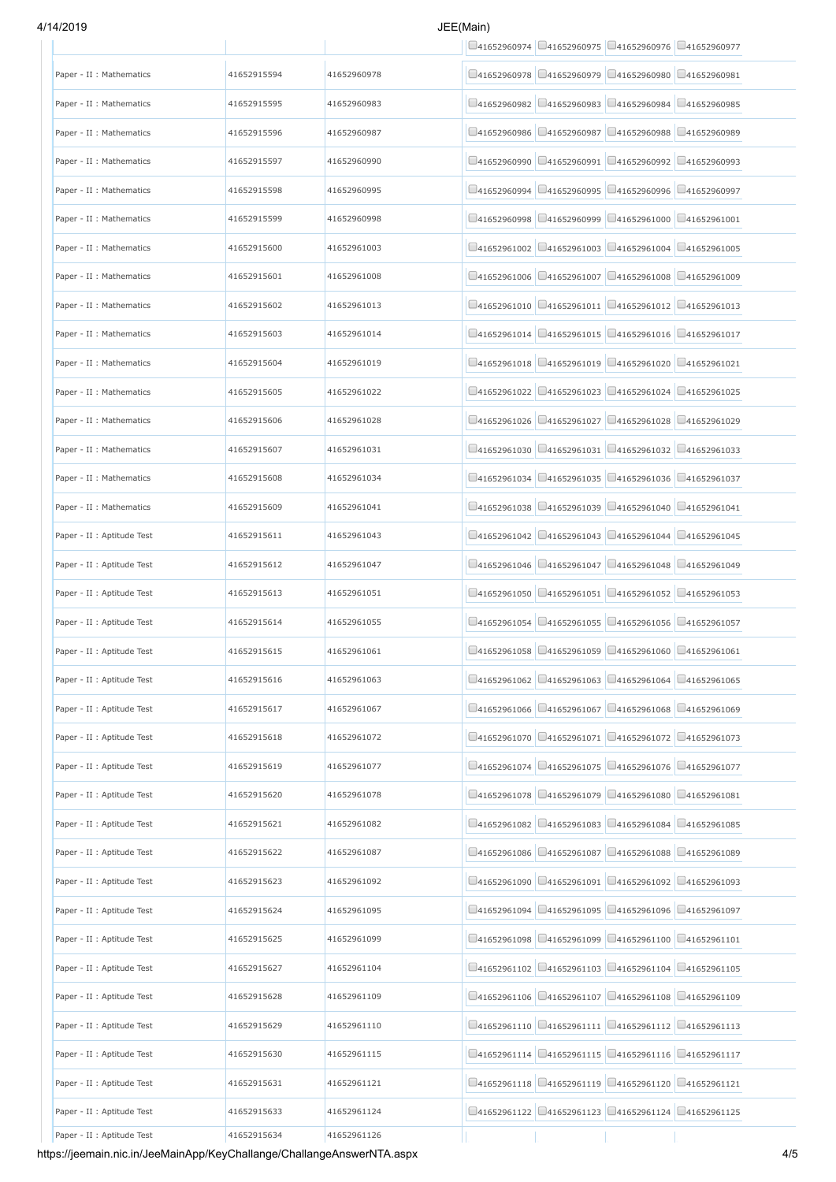# 4/14/2019 JEE(Main)

|                            |             |             | $\Box$ 41652960974 $\Box$ 41652960975 $\Box$ 41652960976 $\Box$ 41652960977          |
|----------------------------|-------------|-------------|--------------------------------------------------------------------------------------|
| Paper - II : Mathematics   | 41652915594 | 41652960978 | $\Box$ 41652960978 $\Box$ 41652960979 $\Box$ 41652960980 $\Box$ 41652960981          |
| Paper - II : Mathematics   | 41652915595 | 41652960983 | $\Box$ 41652960983 $\Box$ 41652960984<br>□41652960985<br>141652960982                |
| Paper - II : Mathematics   | 41652915596 | 41652960987 | □41652960989<br>141652960986<br>□41652960987<br>$\bigcup$ 41652960988                |
| Paper - II : Mathematics   | 41652915597 | 41652960990 | 141652960991<br>141652960992<br>$\Box$ 41652960993<br>141652960990                   |
| Paper - II : Mathematics   | 41652915598 | 41652960995 | □41652960995 □41652960996 □41652960997<br>41652960994                                |
| Paper - II : Mathematics   | 41652915599 | 41652960998 | $\Box$ 41652960999 $\Box$ 41652961000 $\Box$ 41652961001<br>141652960998             |
| Paper - II : Mathematics   | 41652915600 | 41652961003 | $\Box$ 41652961002 $\Box$ 41652961003 $\Box$ 41652961004 $\Box$ 41652961005          |
| Paper - II : Mathematics   | 41652915601 | 41652961008 | $\Box$ 41652961006 $\Box$ 41652961007 $\Box$ 41652961008 $\Box$ 41652961009          |
| Paper - II : Mathematics   | 41652915602 | 41652961013 | $\Box$ 41652961011 $\Box$ 41652961012 $\Box$ 41652961013<br>141652961010             |
| Paper - II : Mathematics   | 41652915603 | 41652961014 | □41652961014 □41652961015 □41652961016 □41652961017                                  |
| Paper - II : Mathematics   | 41652915604 | 41652961019 | $\bigcup$ 41652961019 $\bigcup$ 41652961020<br>□41652961021<br>141652961018          |
| Paper - II : Mathematics   | 41652915605 | 41652961022 | $\Box$ 41652961023 $\Box$ 41652961024 $\Box$ 41652961025<br>141652961022             |
| Paper - II : Mathematics   | 41652915606 | 41652961028 | □41652961026 □41652961027 □41652961028 □41652961029                                  |
| Paper - II : Mathematics   | 41652915607 | 41652961031 | $\Box$ 41652961030 $\Box$ 41652961031 $\Box$ 41652961032 $\Box$ 41652961033          |
| Paper - II : Mathematics   | 41652915608 | 41652961034 | □41652961035 □41652961036 □41652961037<br>141652961034                               |
| Paper - II : Mathematics   | 41652915609 | 41652961041 | 141652961038<br>$\Box$ 41652961039<br>$\bigcup$ 41652961040<br>$\bigcup$ 41652961041 |
| Paper - II : Aptitude Test | 41652915611 | 41652961043 | $\Box$ 41652961042 $\Box$ 41652961043 $\Box$ 41652961044 $\Box$ 41652961045          |
| Paper - II : Aptitude Test | 41652915612 | 41652961047 | □41652961047 □41652961048 □41652961049<br>41652961046                                |
| Paper - II : Aptitude Test | 41652915613 | 41652961051 | $\Box$ 41652961050 $\Box$ 41652961051 $\Box$ 41652961052 $\Box$ 41652961053          |
| Paper - II : Aptitude Test | 41652915614 | 41652961055 | □41652961054 □41652961055 □41652961056 □41652961057                                  |
| Paper - II : Aptitude Test | 41652915615 | 41652961061 | $\Box$ 41652961058 $\Box$ 41652961059 $\Box$ 41652961060 $\Box$ 41652961061          |
| Paper - II : Aptitude Test | 41652915616 | 41652961063 | $\Box$ 41652961062 $\Box$ 41652961063 $\Box$ 41652961064 $\Box$ 41652961065          |
| Paper - II : Aptitude Test | 41652915617 | 41652961067 | 141652961066<br>$Q$ 41652961067<br>$\bigcup$ 41652961068<br>□41652961069             |
| Paper - II : Aptitude Test | 41652915618 | 41652961072 | □41652961070 □41652961071 □41652961072 □41652961073                                  |
| Paper - II : Aptitude Test | 41652915619 | 41652961077 | $\Box$ 41652961075 $\Box$ 41652961076 $\Box$ 41652961077<br>41652961074              |
| Paper - II : Aptitude Test | 41652915620 | 41652961078 | $\Box$ 41652961078 $\Box$ 41652961079 $\Box$ 41652961080 $\Box$ 41652961081          |
| Paper - II : Aptitude Test | 41652915621 | 41652961082 | $\Box$ 41652961083 $\Box$ 41652961084 $\Box$ 41652961085<br>141652961082             |
| Paper - II : Aptitude Test | 41652915622 | 41652961087 | 41652961086<br>$Q$ 41652961087<br>□41652961088<br>□41652961089                       |
| Paper - II : Aptitude Test | 41652915623 | 41652961092 | $\Box$ 41652961092 $\Box$ 41652961093<br>141652961090<br>141652961091                |
| Paper - II : Aptitude Test | 41652915624 | 41652961095 | 141652961094<br>$\Box$ 41652961095 $\Box$ 41652961096<br>□41652961097                |
| Paper - II : Aptitude Test | 41652915625 | 41652961099 | $\Box$ 41652961098 $\Box$ 41652961099 $\Box$ 41652961100 $\Box$ 41652961101          |
| Paper - II : Aptitude Test | 41652915627 | 41652961104 | $\Box$ 41652961102 $\Box$ 41652961103 $\Box$ 41652961104 $\Box$ 41652961105          |
| Paper - II : Aptitude Test | 41652915628 | 41652961109 | □41652961106 □41652961107 □41652961108 □41652961109                                  |
| Paper - II : Aptitude Test | 41652915629 | 41652961110 | $\Box$ 41652961111 $\Box$ 41652961112 $\Box$ 41652961113<br>141652961110             |
| Paper - II : Aptitude Test | 41652915630 | 41652961115 | $\Box$ 41652961115 $\Box$ 41652961116<br>141652961114<br>$\Box$ 41652961117          |
| Paper - II : Aptitude Test | 41652915631 | 41652961121 | □41652961118 □41652961119 □41652961120 □41652961121                                  |
| Paper - II : Aptitude Test | 41652915633 | 41652961124 | □41652961123 □41652961124 □41652961125<br>$Q$ 41652961122                            |
| Paper - II : Aptitude Test | 41652915634 | 41652961126 |                                                                                      |